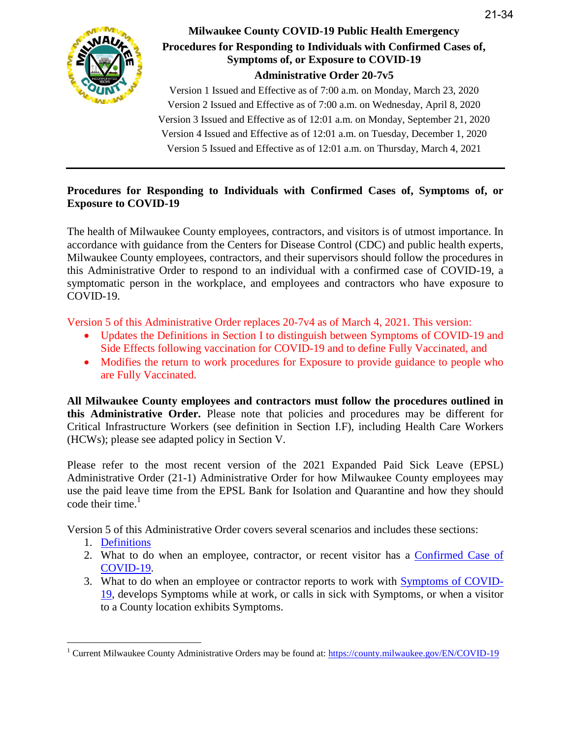

# **Milwaukee County COVID-19 Public Health Emergency Procedures for Responding to Individuals with Confirmed Cases of, Symptoms of, or Exposure to COVID-19 Administrative Order 20-7v5**

Version 1 Issued and Effective as of 7:00 a.m. on Monday, March 23, 2020 Version 2 Issued and Effective as of 7:00 a.m. on Wednesday, April 8, 2020 Version 3 Issued and Effective as of 12:01 a.m. on Monday, September 21, 2020 Version 4 Issued and Effective as of 12:01 a.m. on Tuesday, December 1, 2020 Version 5 Issued and Effective as of 12:01 a.m. on Thursday, March 4, 2021

### **Procedures for Responding to Individuals with Confirmed Cases of, Symptoms of, or Exposure to COVID-19**

The health of Milwaukee County employees, contractors, and visitors is of utmost importance. In accordance with guidance from the Centers for Disease Control (CDC) and public health experts, Milwaukee County employees, contractors, and their supervisors should follow the procedures in this Administrative Order to respond to an individual with a confirmed case of COVID-19, a symptomatic person in the workplace, and employees and contractors who have exposure to COVID-19.

Version 5 of this Administrative Order replaces 20-7v4 as of March 4, 2021. This version:

- Updates the Definitions in Section I to distinguish between Symptoms of COVID-19 and Side Effects following vaccination for COVID-19 and to define Fully Vaccinated, and
- Modifies the return to work procedures for Exposure to provide guidance to people who are Fully Vaccinated.

**All Milwaukee County employees and contractors must follow the procedures outlined in this Administrative Order.** Please note that policies and procedures may be different for Critical Infrastructure Workers (see definition in Section I.F), including Health Care Workers (HCWs); please see adapted policy in Section V.

Please refer to the most recent version of the 2021 Expanded Paid Sick Leave (EPSL) Administrative Order (21-1) Administrative Order for how Milwaukee County employees may use the paid leave time from the EPSL Bank for Isolation and Quarantine and how they should code their time. $1$ 

Version 5 of this Administrative Order covers several scenarios and includes these sections:

- 1. [Definitions](#page-1-0)
- 2. What to do when an employee, contractor, or recent visitor has a [Confirmed Case of](#page-3-0)  [COVID-19.](#page-3-0)
- 3. What to do when an employee or contractor reports to work with [Symptoms of COVID-](#page-6-0)[19,](#page-6-0) develops Symptoms while at work, or calls in sick with Symptoms, or when a visitor to a County location exhibits Symptoms.

<sup>&</sup>lt;sup>1</sup> Current Milwaukee County Administrative Orders may be found at: https://county.milwaukee.gov/EN/COVID-19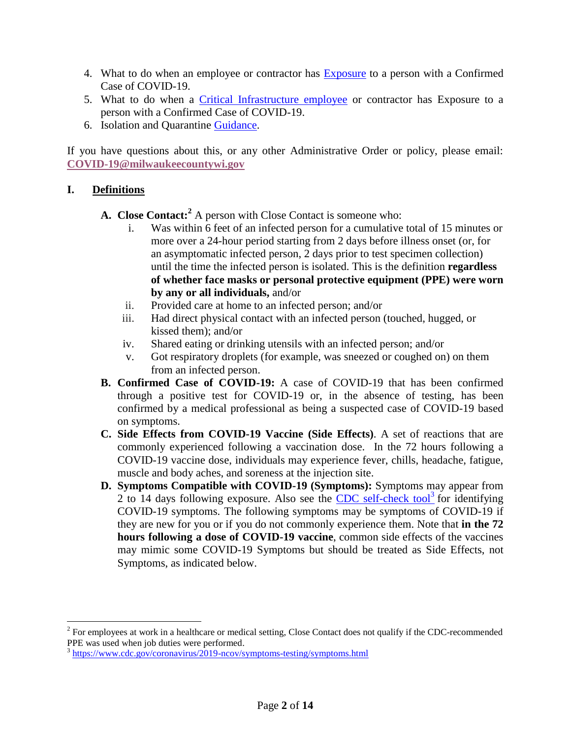- 4. What to do when an employee or contractor has [Exposure](#page-9-0) to a person with a Confirmed Case of COVID-19.
- 5. What to do when a [Critical Infrastructure employee](#page-11-0) or contractor has Exposure to a person with a Confirmed Case of COVID-19.
- 6. Isolation and Quarantine [Guidance.](#page-13-0)

If you have questions about this, or any other Administrative Order or policy, please email: **[COVID-19@milwaukeecountywi.gov](mailto:COVID-19@milwaukeecountywi.gov)**

# <span id="page-1-0"></span>**I. Definitions**

- **A. Close Contact: <sup>2</sup>** A person with Close Contact is someone who:
	- Was within 6 feet of an infected person for a cumulative total of 15 minutes or more over a 24-hour period starting from 2 days before illness onset (or, for an asymptomatic infected person, 2 days prior to test specimen collection) until the time the infected person is isolated. This is the definition **regardless of whether face masks or personal protective equipment (PPE) were worn by any or all individuals,** and/or
	- ii. Provided care at home to an infected person; and/or
	- iii. Had direct physical contact with an infected person (touched, hugged, or kissed them); and/or
	- iv. Shared eating or drinking utensils with an infected person; and/or
	- v. Got respiratory droplets (for example, was sneezed or coughed on) on them from an infected person.
- **B. Confirmed Case of COVID-19:** A case of COVID-19 that has been confirmed through a positive test for COVID-19 or, in the absence of testing, has been confirmed by a medical professional as being a suspected case of COVID-19 based on symptoms.
- **C. Side Effects from COVID-19 Vaccine (Side Effects)**. A set of reactions that are commonly experienced following a vaccination dose. In the 72 hours following a COVID-19 vaccine dose, individuals may experience fever, chills, headache, fatigue, muscle and body aches, and soreness at the injection site.
- **D. Symptoms Compatible with COVID-19 (Symptoms):** Symptoms may appear from 2 to 14 days following exposure. Also see the  $\overline{\text{CDC}}$  self-check tool<sup>3</sup> for identifying COVID-19 symptoms. The following symptoms may be symptoms of COVID-19 if they are new for you or if you do not commonly experience them. Note that **in the 72 hours following a dose of COVID-19 vaccine**, common side effects of the vaccines may mimic some COVID-19 Symptoms but should be treated as Side Effects, not Symptoms, as indicated below.

 $2^{2}$  For employees at work in a healthcare or medical setting, Close Contact does not qualify if the CDC-recommended PPE was used when job duties were performed.

<sup>&</sup>lt;sup>3</sup> <https://www.cdc.gov/coronavirus/2019-ncov/symptoms-testing/symptoms.html>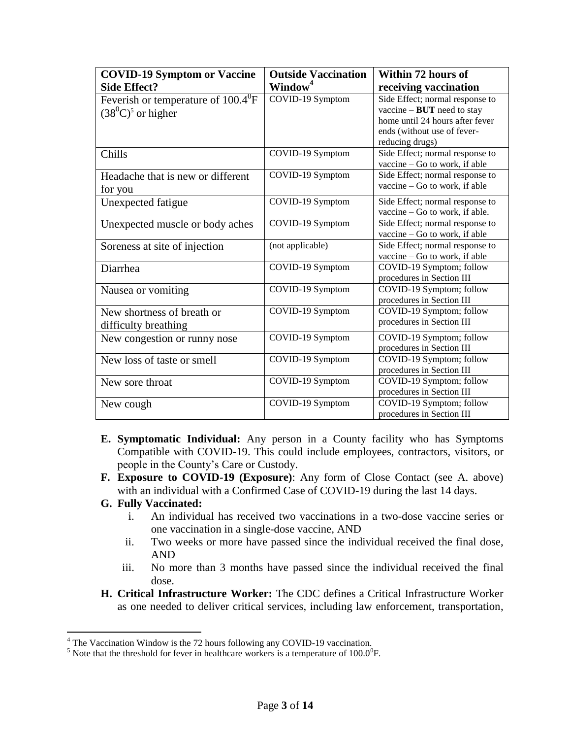| <b>COVID-19 Symptom or Vaccine</b>                                    | <b>Outside Vaccination</b> | Within 72 hours of                                                                                                                                   |
|-----------------------------------------------------------------------|----------------------------|------------------------------------------------------------------------------------------------------------------------------------------------------|
| <b>Side Effect?</b>                                                   | Window <sup>4</sup>        | receiving vaccination                                                                                                                                |
| Feverish or temperature of $100.4^{\circ}$ F<br>$(38^0C)^5$ or higher | COVID-19 Symptom           | Side Effect; normal response to<br>vaccine $-$ BUT need to stay<br>home until 24 hours after fever<br>ends (without use of fever-<br>reducing drugs) |
| Chills                                                                | COVID-19 Symptom           | Side Effect; normal response to<br>vaccine - Go to work, if able                                                                                     |
| Headache that is new or different<br>for you                          | COVID-19 Symptom           | Side Effect; normal response to<br>vaccine $-$ Go to work, if able                                                                                   |
| Unexpected fatigue                                                    | COVID-19 Symptom           | Side Effect; normal response to<br>vaccine – Go to work, if able.                                                                                    |
| Unexpected muscle or body aches                                       | COVID-19 Symptom           | Side Effect; normal response to<br>vaccine $-$ Go to work, if able                                                                                   |
| Soreness at site of injection                                         | (not applicable)           | Side Effect; normal response to<br>vaccine $-$ Go to work, if able                                                                                   |
| Diarrhea                                                              | COVID-19 Symptom           | COVID-19 Symptom; follow<br>procedures in Section III                                                                                                |
| Nausea or vomiting                                                    | COVID-19 Symptom           | COVID-19 Symptom; follow<br>procedures in Section III                                                                                                |
| New shortness of breath or<br>difficulty breathing                    | COVID-19 Symptom           | COVID-19 Symptom; follow<br>procedures in Section III                                                                                                |
| New congestion or runny nose                                          | COVID-19 Symptom           | COVID-19 Symptom; follow<br>procedures in Section III                                                                                                |
| New loss of taste or smell                                            | COVID-19 Symptom           | COVID-19 Symptom; follow<br>procedures in Section III                                                                                                |
| New sore throat                                                       | COVID-19 Symptom           | COVID-19 Symptom; follow<br>procedures in Section III                                                                                                |
| New cough                                                             | COVID-19 Symptom           | COVID-19 Symptom; follow<br>procedures in Section III                                                                                                |

- **E. Symptomatic Individual:** Any person in a County facility who has Symptoms Compatible with COVID-19. This could include employees, contractors, visitors, or people in the County's Care or Custody.
- **F. Exposure to COVID-19 (Exposure)**: Any form of Close Contact (see A. above) with an individual with a Confirmed Case of COVID-19 during the last 14 days.

#### **G. Fully Vaccinated:**

- i. An individual has received two vaccinations in a two-dose vaccine series or one vaccination in a single-dose vaccine, AND
- ii. Two weeks or more have passed since the individual received the final dose, AND
- iii. No more than 3 months have passed since the individual received the final dose.
- **H. Critical Infrastructure Worker:** The CDC defines a Critical Infrastructure Worker as one needed to deliver critical services, including law enforcement, transportation,

<sup>&</sup>lt;sup>4</sup> The Vaccination Window is the 72 hours following any COVID-19 vaccination.

<sup>&</sup>lt;sup>5</sup> Note that the threshold for fever in healthcare workers is a temperature of  $100.0^{\circ}$ F.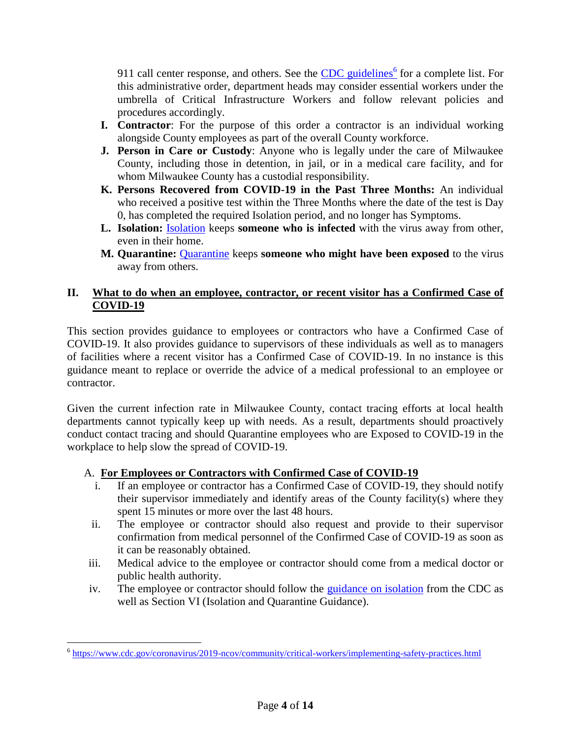911 call center response, and others. See the **CDC** guidelines<sup>6</sup> for a complete list. For this administrative order, department heads may consider essential workers under the umbrella of Critical Infrastructure Workers and follow relevant policies and procedures accordingly.

- **I. Contractor**: For the purpose of this order a contractor is an individual working alongside County employees as part of the overall County workforce.
- **J. Person in Care or Custody**: Anyone who is legally under the care of Milwaukee County, including those in detention, in jail, or in a medical care facility, and for whom Milwaukee County has a custodial responsibility.
- **K. Persons Recovered from COVID-19 in the Past Three Months:** An individual who received a positive test within the Three Months where the date of the test is Day 0, has completed the required Isolation period, and no longer has Symptoms.
- **L. Isolation:** [Isolation](https://www.cdc.gov/coronavirus/2019-ncov/if-you-are-sick/isolation.html) keeps **someone who is infected** with the virus away from other, even in their home.
- **M. Quarantine:** [Quarantine](https://www.cdc.gov/coronavirus/2019-ncov/if-you-are-sick/quarantine.html) keeps **someone who might have been exposed** to the virus away from others.

## <span id="page-3-0"></span>**II. What to do when an employee, contractor, or recent visitor has a Confirmed Case of COVID-19**

This section provides guidance to employees or contractors who have a Confirmed Case of COVID-19. It also provides guidance to supervisors of these individuals as well as to managers of facilities where a recent visitor has a Confirmed Case of COVID-19. In no instance is this guidance meant to replace or override the advice of a medical professional to an employee or contractor.

Given the current infection rate in Milwaukee County, contact tracing efforts at local health departments cannot typically keep up with needs. As a result, departments should proactively conduct contact tracing and should Quarantine employees who are Exposed to COVID-19 in the workplace to help slow the spread of COVID-19.

# A. **For Employees or Contractors with Confirmed Case of COVID-19**

- i. If an employee or contractor has a Confirmed Case of COVID-19, they should notify their supervisor immediately and identify areas of the County facility(s) where they spent 15 minutes or more over the last 48 hours.
- ii. The employee or contractor should also request and provide to their supervisor confirmation from medical personnel of the Confirmed Case of COVID-19 as soon as it can be reasonably obtained.
- iii. Medical advice to the employee or contractor should come from a medical doctor or public health authority.
- iv. The employee or contractor should follow the [guidance on isolation](https://www.cdc.gov/coronavirus/2019-ncov/if-you-are-sick/isolation.html) from the CDC as well as Section VI (Isolation and Quarantine Guidance).

 6 <https://www.cdc.gov/coronavirus/2019-ncov/community/critical-workers/implementing-safety-practices.html>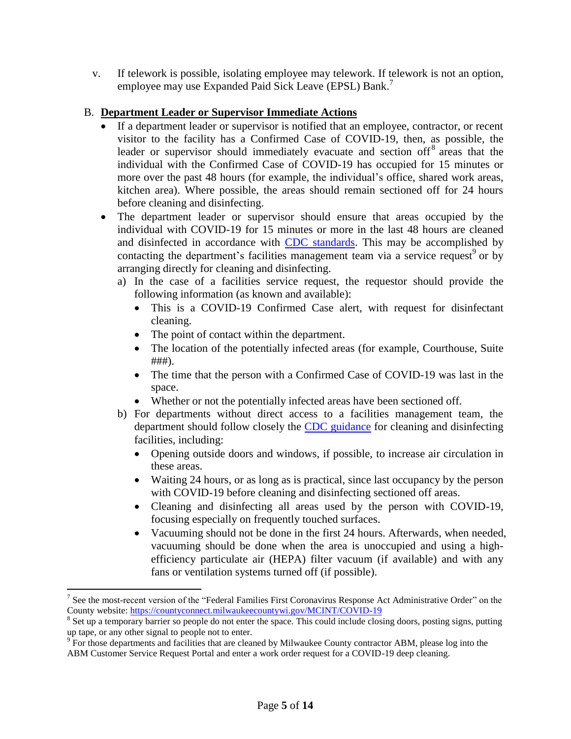v. If telework is possible, isolating employee may telework. If telework is not an option, employee may use Expanded Paid Sick Leave (EPSL) Bank. 7

#### B. **Department Leader or Supervisor Immediate Actions**

- If a department leader or supervisor is notified that an employee, contractor, or recent visitor to the facility has a Confirmed Case of COVID-19, then, as possible, the leader or supervisor should immediately evacuate and section off<sup>8</sup> areas that the individual with the Confirmed Case of COVID-19 has occupied for 15 minutes or more over the past 48 hours (for example, the individual's office, shared work areas, kitchen area). Where possible, the areas should remain sectioned off for 24 hours before cleaning and disinfecting.
- The department leader or supervisor should ensure that areas occupied by the individual with COVID-19 for 15 minutes or more in the last 48 hours are cleaned and disinfected in accordance with [CDC standards.](https://www.cdc.gov/coronavirus/2019-ncov/community/disinfecting-building-facility.html) This may be accomplished by contacting the department's facilities management team via a service request<sup>9</sup> or by arranging directly for cleaning and disinfecting.
	- a) In the case of a facilities service request, the requestor should provide the following information (as known and available):
		- This is a COVID-19 Confirmed Case alert, with request for disinfectant cleaning.
		- The point of contact within the department.
		- The location of the potentially infected areas (for example, Courthouse, Suite ###).
		- The time that the person with a Confirmed Case of COVID-19 was last in the space.
		- Whether or not the potentially infected areas have been sectioned off.
	- b) For departments without direct access to a facilities management team, the department should follow closely the [CDC guidance](https://www.cdc.gov/coronavirus/2019-ncov/community/disinfecting-building-facility.html) for cleaning and disinfecting facilities, including:
		- Opening outside doors and windows, if possible, to increase air circulation in these areas.
		- Waiting 24 hours, or as long as is practical, since last occupancy by the person with COVID-19 before cleaning and disinfecting sectioned off areas.
		- Cleaning and disinfecting all areas used by the person with COVID-19, focusing especially on frequently touched surfaces.
		- Vacuuming should not be done in the first 24 hours. Afterwards, when needed, vacuuming should be done when the area is unoccupied and using a highefficiency particulate air (HEPA) filter vacuum (if available) and with any fans or ventilation systems turned off (if possible).

<sup>7</sup> See the most-recent version of the "Federal Families First Coronavirus Response Act Administrative Order" on the County website:<https://countyconnect.milwaukeecountywi.gov/MCINT/COVID-19>

<sup>&</sup>lt;sup>8</sup> Set up a temporary barrier so people do not enter the space. This could include closing doors, posting signs, putting up tape, or any other signal to people not to enter.

<sup>&</sup>lt;sup>9</sup> For those departments and facilities that are cleaned by Milwaukee County contractor ABM, please log into the ABM Customer Service Request Portal and enter a work order request for a COVID-19 deep cleaning.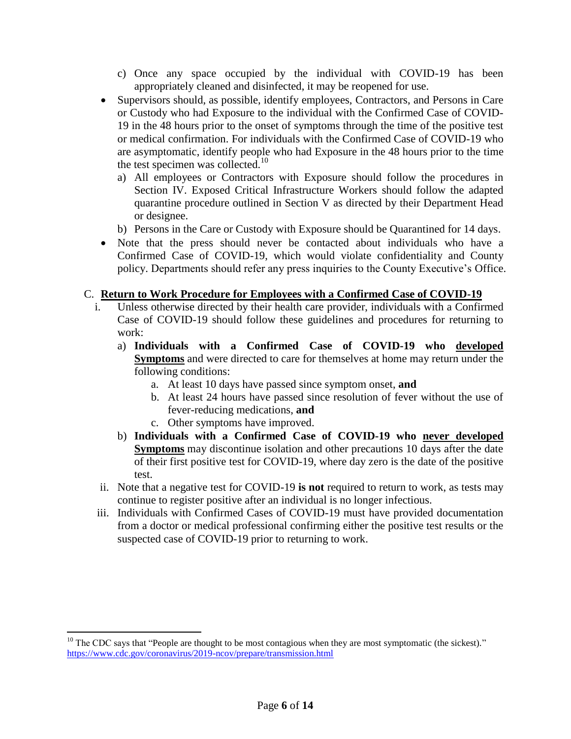- c) Once any space occupied by the individual with COVID-19 has been appropriately cleaned and disinfected, it may be reopened for use.
- Supervisors should, as possible, identify employees, Contractors, and Persons in Care or Custody who had Exposure to the individual with the Confirmed Case of COVID-19 in the 48 hours prior to the onset of symptoms through the time of the positive test or medical confirmation. For individuals with the Confirmed Case of COVID-19 who are asymptomatic, identify people who had Exposure in the 48 hours prior to the time the test specimen was collected.<sup>10</sup>
	- a) All employees or Contractors with Exposure should follow the procedures in Section IV. Exposed Critical Infrastructure Workers should follow the adapted quarantine procedure outlined in Section V as directed by their Department Head or designee.
	- b) Persons in the Care or Custody with Exposure should be Quarantined for 14 days.
- Note that the press should never be contacted about individuals who have a Confirmed Case of COVID-19, which would violate confidentiality and County policy. Departments should refer any press inquiries to the County Executive's Office.

# C. **Return to Work Procedure for Employees with a Confirmed Case of COVID-19**

- i. Unless otherwise directed by their health care provider, individuals with a Confirmed Case of COVID-19 should follow these guidelines and procedures for returning to work:
	- a) **Individuals with a Confirmed Case of COVID-19 who developed Symptoms** and were directed to care for themselves at home may return under the following conditions:
		- a. At least 10 days have passed since symptom onset, **and**
		- b. At least 24 hours have passed since resolution of fever without the use of fever-reducing medications, **and**
		- c. Other symptoms have improved.

- b) **Individuals with a Confirmed Case of COVID-19 who never developed Symptoms** may discontinue isolation and other precautions 10 days after the date of their first positive test for COVID-19, where day zero is the date of the positive test.
- ii. Note that a negative test for COVID-19 **is not** required to return to work, as tests may continue to register positive after an individual is no longer infectious.
- iii. Individuals with Confirmed Cases of COVID-19 must have provided documentation from a doctor or medical professional confirming either the positive test results or the suspected case of COVID-19 prior to returning to work.

 $10$  The CDC says that "People are thought to be most contagious when they are most symptomatic (the sickest)." <https://www.cdc.gov/coronavirus/2019-ncov/prepare/transmission.html>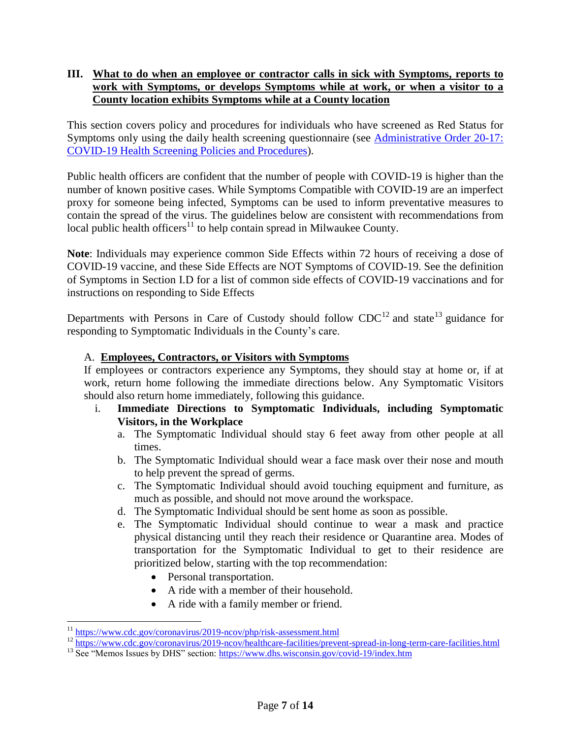### <span id="page-6-0"></span>**III. What to do when an employee or contractor calls in sick with Symptoms, reports to work with Symptoms, or develops Symptoms while at work, or when a visitor to a County location exhibits Symptoms while at a County location**

This section covers policy and procedures for individuals who have screened as Red Status for Symptoms only using the daily health screening questionnaire (see Administrative Order 20-17: [COVID-19 Health Screening Policies and Procedures\)](https://county.milwaukee.gov/EN/COVID-19).

Public health officers are confident that the number of people with COVID-19 is higher than the number of known positive cases. While Symptoms Compatible with COVID-19 are an imperfect proxy for someone being infected, Symptoms can be used to inform preventative measures to contain the spread of the virus. The guidelines below are consistent with recommendations from local public health officers<sup>11</sup> to help contain spread in Milwaukee County.

**Note**: Individuals may experience common Side Effects within 72 hours of receiving a dose of COVID-19 vaccine, and these Side Effects are NOT Symptoms of COVID-19. See the definition of Symptoms in Section I.D for a list of common side effects of COVID-19 vaccinations and for instructions on responding to Side Effects

Departments with Persons in Care of Custody should follow  $CDC^{12}$  and state<sup>13</sup> guidance for responding to Symptomatic Individuals in the County's care.

### A. **Employees, Contractors, or Visitors with Symptoms**

If employees or contractors experience any Symptoms, they should stay at home or, if at work, return home following the immediate directions below. Any Symptomatic Visitors should also return home immediately, following this guidance.

- i. **Immediate Directions to Symptomatic Individuals, including Symptomatic Visitors, in the Workplace**
	- a. The Symptomatic Individual should stay 6 feet away from other people at all times.
	- b. The Symptomatic Individual should wear a face mask over their nose and mouth to help prevent the spread of germs.
	- c. The Symptomatic Individual should avoid touching equipment and furniture, as much as possible, and should not move around the workspace.
	- d. The Symptomatic Individual should be sent home as soon as possible.
	- e. The Symptomatic Individual should continue to wear a mask and practice physical distancing until they reach their residence or Quarantine area. Modes of transportation for the Symptomatic Individual to get to their residence are prioritized below, starting with the top recommendation:
		- Personal transportation.
		- A ride with a member of their household.
		- A ride with a family member or friend.

<sup>&</sup>lt;sup>11</sup> <https://www.cdc.gov/coronavirus/2019-ncov/php/risk-assessment.html>

<sup>&</sup>lt;sup>12</sup> <https://www.cdc.gov/coronavirus/2019-ncov/healthcare-facilities/prevent-spread-in-long-term-care-facilities.html>

<sup>&</sup>lt;sup>13</sup> See "Memos Issues by DHS" section:<https://www.dhs.wisconsin.gov/covid-19/index.htm>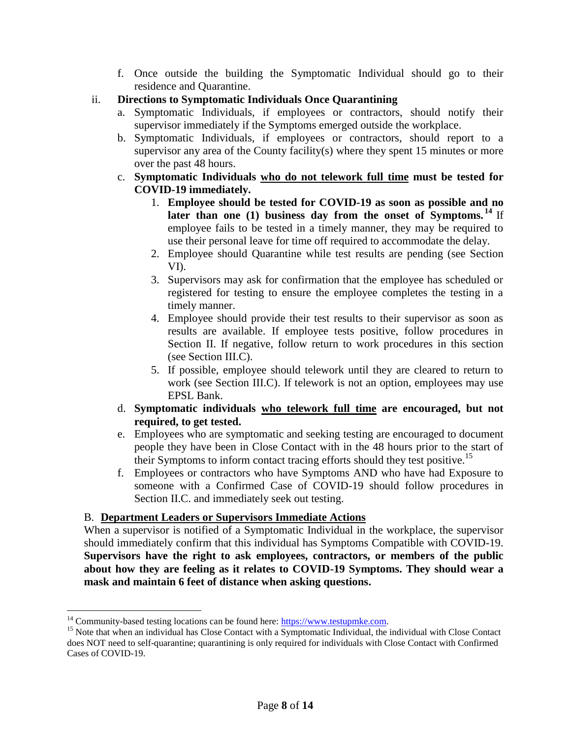- f. Once outside the building the Symptomatic Individual should go to their residence and Quarantine.
- ii. **Directions to Symptomatic Individuals Once Quarantining**
	- a. Symptomatic Individuals, if employees or contractors, should notify their supervisor immediately if the Symptoms emerged outside the workplace.
	- b. Symptomatic Individuals, if employees or contractors, should report to a supervisor any area of the County facility(s) where they spent 15 minutes or more over the past 48 hours.
	- c. **Symptomatic Individuals who do not telework full time must be tested for COVID-19 immediately.**
		- 1. **Employee should be tested for COVID-19 as soon as possible and no later than one (1) business day from the onset of Symptoms. <sup>14</sup>** If employee fails to be tested in a timely manner, they may be required to use their personal leave for time off required to accommodate the delay.
		- 2. Employee should Quarantine while test results are pending (see Section VI).
		- 3. Supervisors may ask for confirmation that the employee has scheduled or registered for testing to ensure the employee completes the testing in a timely manner.
		- 4. Employee should provide their test results to their supervisor as soon as results are available. If employee tests positive, follow procedures in Section II. If negative, follow return to work procedures in this section (see Section III.C).
		- 5. If possible, employee should telework until they are cleared to return to work (see Section III.C). If telework is not an option, employees may use EPSL Bank.
	- d. **Symptomatic individuals who telework full time are encouraged, but not required, to get tested.**
	- e. Employees who are symptomatic and seeking testing are encouraged to document people they have been in Close Contact with in the 48 hours prior to the start of their Symptoms to inform contact tracing efforts should they test positive.<sup>15</sup>
	- f. Employees or contractors who have Symptoms AND who have had Exposure to someone with a Confirmed Case of COVID-19 should follow procedures in Section II.C. and immediately seek out testing.

# B. **Department Leaders or Supervisors Immediate Actions**

When a supervisor is notified of a Symptomatic Individual in the workplace, the supervisor should immediately confirm that this individual has Symptoms Compatible with COVID-19. **Supervisors have the right to ask employees, contractors, or members of the public about how they are feeling as it relates to COVID-19 Symptoms. They should wear a mask and maintain 6 feet of distance when asking questions.** 

 $14$  Community-based testing locations can be found here: [https://www.testupmke.com.](https://www.testupmke.com/)

<sup>&</sup>lt;sup>15</sup> Note that when an individual has Close Contact with a Symptomatic Individual, the individual with Close Contact does NOT need to self-quarantine; quarantining is only required for individuals with Close Contact with Confirmed Cases of COVID-19.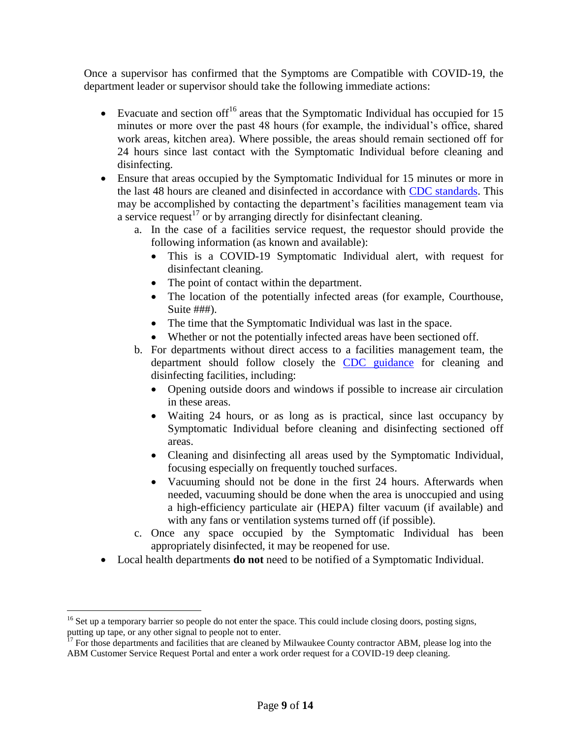Once a supervisor has confirmed that the Symptoms are Compatible with COVID-19, the department leader or supervisor should take the following immediate actions:

- Evacuate and section of  $f^{16}$  areas that the Symptomatic Individual has occupied for 15 minutes or more over the past 48 hours (for example, the individual's office, shared work areas, kitchen area). Where possible, the areas should remain sectioned off for 24 hours since last contact with the Symptomatic Individual before cleaning and disinfecting.
- Ensure that areas occupied by the Symptomatic Individual for 15 minutes or more in the last 48 hours are cleaned and disinfected in accordance with [CDC standards.](https://www.cdc.gov/coronavirus/2019-ncov/community/disinfecting-building-facility.html) This may be accomplished by contacting the department's facilities management team via a service request<sup>17</sup> or by arranging directly for disinfectant cleaning.
	- a. In the case of a facilities service request, the requestor should provide the following information (as known and available):
		- This is a COVID-19 Symptomatic Individual alert, with request for disinfectant cleaning.
		- The point of contact within the department.
		- The location of the potentially infected areas (for example, Courthouse, Suite ###).
		- The time that the Symptomatic Individual was last in the space.
		- Whether or not the potentially infected areas have been sectioned off.
	- b. For departments without direct access to a facilities management team, the department should follow closely the [CDC guidance](https://www.cdc.gov/coronavirus/2019-ncov/community/disinfecting-building-facility.html) for cleaning and disinfecting facilities, including:
		- Opening outside doors and windows if possible to increase air circulation in these areas.
		- Waiting 24 hours, or as long as is practical, since last occupancy by Symptomatic Individual before cleaning and disinfecting sectioned off areas.
		- Cleaning and disinfecting all areas used by the Symptomatic Individual, focusing especially on frequently touched surfaces.
		- Vacuuming should not be done in the first 24 hours. Afterwards when needed, vacuuming should be done when the area is unoccupied and using a high-efficiency particulate air (HEPA) filter vacuum (if available) and with any fans or ventilation systems turned off (if possible).
	- c. Once any space occupied by the Symptomatic Individual has been appropriately disinfected, it may be reopened for use.
- Local health departments **do not** need to be notified of a Symptomatic Individual.

 $16$  Set up a temporary barrier so people do not enter the space. This could include closing doors, posting signs, putting up tape, or any other signal to people not to enter.<br><sup>17</sup> For these detection

<sup>17</sup> For those departments and facilities that are cleaned by Milwaukee County contractor ABM, please log into the ABM Customer Service Request Portal and enter a work order request for a COVID-19 deep cleaning.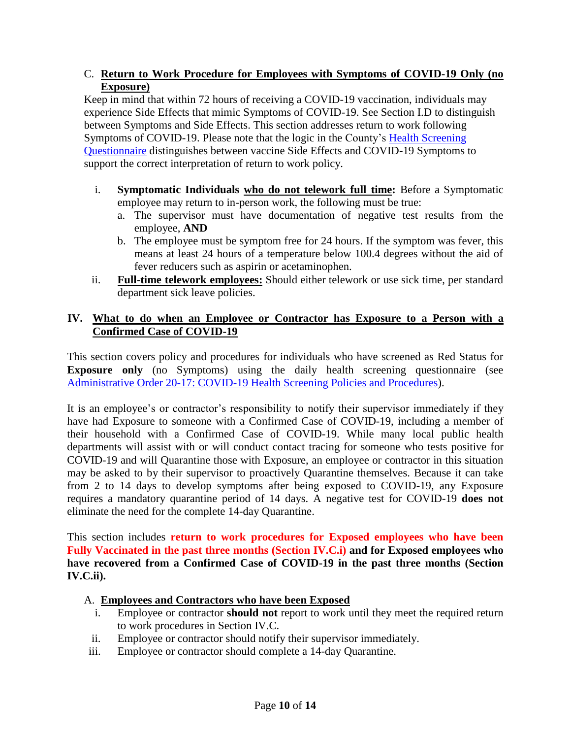### C. **Return to Work Procedure for Employees with Symptoms of COVID-19 Only (no Exposure)**

Keep in mind that within 72 hours of receiving a COVID-19 vaccination, individuals may experience Side Effects that mimic Symptoms of COVID-19. See Section I.D to distinguish between Symptoms and Side Effects. This section addresses return to work following Symptoms of COVID-19. Please note that the logic in the County's [Health Screening](https://county.milwaukee.gov/EN/COVID-19/MKE-Health-Screen)  [Questionnaire](https://county.milwaukee.gov/EN/COVID-19/MKE-Health-Screen) distinguishes between vaccine Side Effects and COVID-19 Symptoms to support the correct interpretation of return to work policy.

- i. **Symptomatic Individuals who do not telework full time:** Before a Symptomatic employee may return to in-person work, the following must be true:
	- a. The supervisor must have documentation of negative test results from the employee, **AND**
	- b. The employee must be symptom free for 24 hours. If the symptom was fever, this means at least 24 hours of a temperature below 100.4 degrees without the aid of fever reducers such as aspirin or acetaminophen.
- ii. **Full-time telework employees:** Should either telework or use sick time, per standard department sick leave policies.

## <span id="page-9-0"></span>**IV. What to do when an Employee or Contractor has Exposure to a Person with a Confirmed Case of COVID-19**

This section covers policy and procedures for individuals who have screened as Red Status for **Exposure only** (no Symptoms) using the daily health screening questionnaire (see [Administrative Order 20-17: COVID-19 Health Screening Policies and Procedures\)](https://county.milwaukee.gov/EN/COVID-19).

It is an employee's or contractor's responsibility to notify their supervisor immediately if they have had Exposure to someone with a Confirmed Case of COVID-19, including a member of their household with a Confirmed Case of COVID-19. While many local public health departments will assist with or will conduct contact tracing for someone who tests positive for COVID-19 and will Quarantine those with Exposure, an employee or contractor in this situation may be asked to by their supervisor to proactively Quarantine themselves. Because it can take from 2 to 14 days to develop symptoms after being exposed to COVID-19, any Exposure requires a mandatory quarantine period of 14 days. A negative test for COVID-19 **does not** eliminate the need for the complete 14-day Quarantine.

This section includes **return to work procedures for Exposed employees who have been Fully Vaccinated in the past three months (Section IV.C.i) and for Exposed employees who have recovered from a Confirmed Case of COVID-19 in the past three months (Section IV.C.ii).**

### A. **Employees and Contractors who have been Exposed**

- i. Employee or contractor **should not** report to work until they meet the required return to work procedures in Section IV.C.
- ii. Employee or contractor should notify their supervisor immediately.
- iii. Employee or contractor should complete a 14-day Quarantine.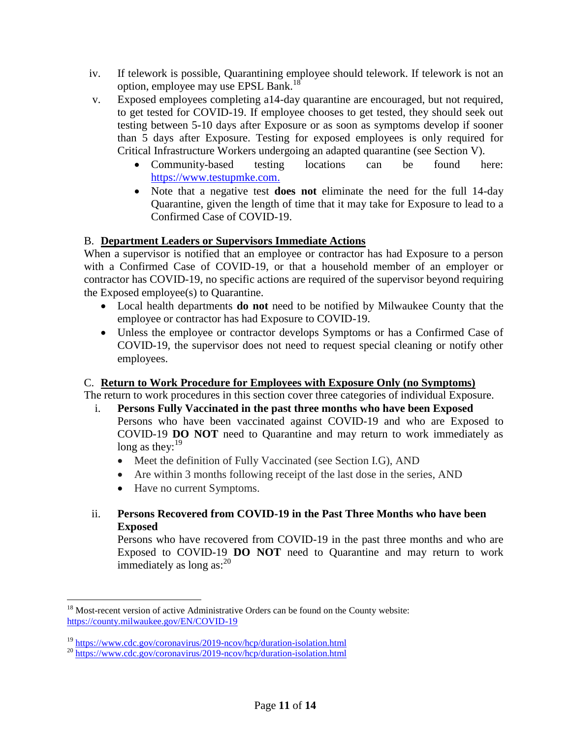- iv. If telework is possible, Quarantining employee should telework. If telework is not an option, employee may use EPSL Bank.<sup>18</sup>
- v. Exposed employees completing a14-day quarantine are encouraged, but not required, to get tested for COVID-19. If employee chooses to get tested, they should seek out testing between 5-10 days after Exposure or as soon as symptoms develop if sooner than 5 days after Exposure. Testing for exposed employees is only required for Critical Infrastructure Workers undergoing an adapted quarantine (see Section V).
	- Community-based testing locations can be found here: [https://www.testupmke.com.](https://www.testupmke.com/)
	- Note that a negative test **does not** eliminate the need for the full 14-day Quarantine, given the length of time that it may take for Exposure to lead to a Confirmed Case of COVID-19.

# B. **Department Leaders or Supervisors Immediate Actions**

When a supervisor is notified that an employee or contractor has had Exposure to a person with a Confirmed Case of COVID-19, or that a household member of an employer or contractor has COVID-19, no specific actions are required of the supervisor beyond requiring the Exposed employee(s) to Quarantine.

- Local health departments **do not** need to be notified by Milwaukee County that the employee or contractor has had Exposure to COVID-19.
- Unless the employee or contractor develops Symptoms or has a Confirmed Case of COVID-19, the supervisor does not need to request special cleaning or notify other employees.

# C. **Return to Work Procedure for Employees with Exposure Only (no Symptoms)**

The return to work procedures in this section cover three categories of individual Exposure.

- i. **Persons Fully Vaccinated in the past three months who have been Exposed**  Persons who have been vaccinated against COVID-19 and who are Exposed to COVID-19 **DO NOT** need to Quarantine and may return to work immediately as long as they:  $19$ 
	- Meet the definition of Fully Vaccinated (see Section I.G), AND
	- Are within 3 months following receipt of the last dose in the series, AND
	- Have no current Symptoms.
- ii. **Persons Recovered from COVID-19 in the Past Three Months who have been Exposed**

Persons who have recovered from COVID-19 in the past three months and who are Exposed to COVID-19 **DO NOT** need to Quarantine and may return to work immediately as long as:<sup>20</sup>

 $\overline{a}$ <sup>18</sup> Most-recent version of active Administrative Orders can be found on the County website: <https://county.milwaukee.gov/EN/COVID-19>

<sup>&</sup>lt;sup>19</sup> <https://www.cdc.gov/coronavirus/2019-ncov/hcp/duration-isolation.html>

<sup>&</sup>lt;sup>20</sup> <https://www.cdc.gov/coronavirus/2019-ncov/hcp/duration-isolation.html>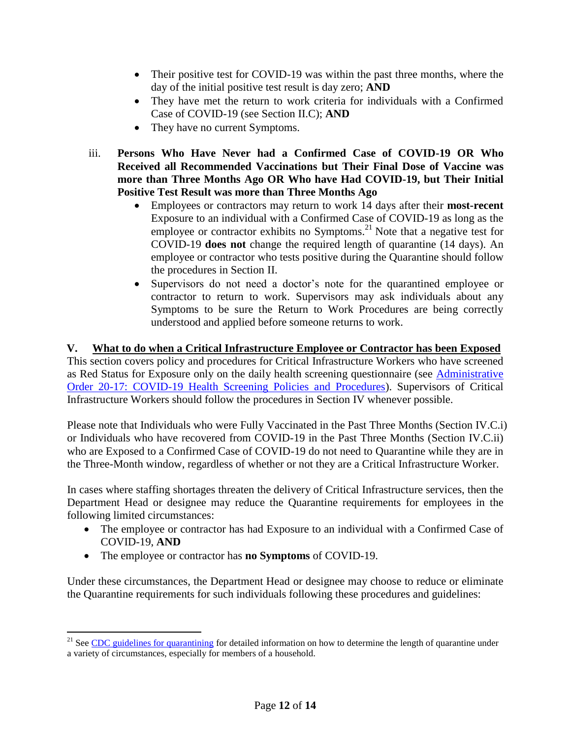- Their positive test for COVID-19 was within the past three months, where the day of the initial positive test result is day zero; **AND**
- They have met the return to work criteria for individuals with a Confirmed Case of COVID-19 (see Section II.C); **AND**
- They have no current Symptoms.
- iii. **Persons Who Have Never had a Confirmed Case of COVID-19 OR Who Received all Recommended Vaccinations but Their Final Dose of Vaccine was more than Three Months Ago OR Who have Had COVID-19, but Their Initial Positive Test Result was more than Three Months Ago**
	- Employees or contractors may return to work 14 days after their **most-recent** Exposure to an individual with a Confirmed Case of COVID-19 as long as the employee or contractor exhibits no Symptoms.<sup>21</sup> Note that a negative test for COVID-19 **does not** change the required length of quarantine (14 days). An employee or contractor who tests positive during the Quarantine should follow the procedures in Section II.
	- Supervisors do not need a doctor's note for the quarantined employee or contractor to return to work. Supervisors may ask individuals about any Symptoms to be sure the Return to Work Procedures are being correctly understood and applied before someone returns to work.

<span id="page-11-0"></span>**V. What to do when a Critical Infrastructure Employee or Contractor has been Exposed** This section covers policy and procedures for Critical Infrastructure Workers who have screened as Red Status for Exposure only on the daily health screening questionnaire (see [Administrative](https://county.milwaukee.gov/EN/COVID-19)  [Order 20-17: COVID-19 Health Screening Policies and Procedures\)](https://county.milwaukee.gov/EN/COVID-19). Supervisors of Critical Infrastructure Workers should follow the procedures in Section IV whenever possible.

Please note that Individuals who were Fully Vaccinated in the Past Three Months (Section IV.C.i) or Individuals who have recovered from COVID-19 in the Past Three Months (Section IV.C.ii) who are Exposed to a Confirmed Case of COVID-19 do not need to Quarantine while they are in the Three-Month window, regardless of whether or not they are a Critical Infrastructure Worker.

In cases where staffing shortages threaten the delivery of Critical Infrastructure services, then the Department Head or designee may reduce the Quarantine requirements for employees in the following limited circumstances:

- The employee or contractor has had Exposure to an individual with a Confirmed Case of COVID-19, **AND**
- The employee or contractor has **no Symptoms** of COVID-19.

 $\overline{a}$ 

Under these circumstances, the Department Head or designee may choose to reduce or eliminate the Quarantine requirements for such individuals following these procedures and guidelines:

<sup>&</sup>lt;sup>21</sup> See [CDC guidelines for quarantining](https://www.cdc.gov/coronavirus/2019-ncov/if-you-are-sick/quarantine.html) for detailed information on how to determine the length of quarantine under a variety of circumstances, especially for members of a household.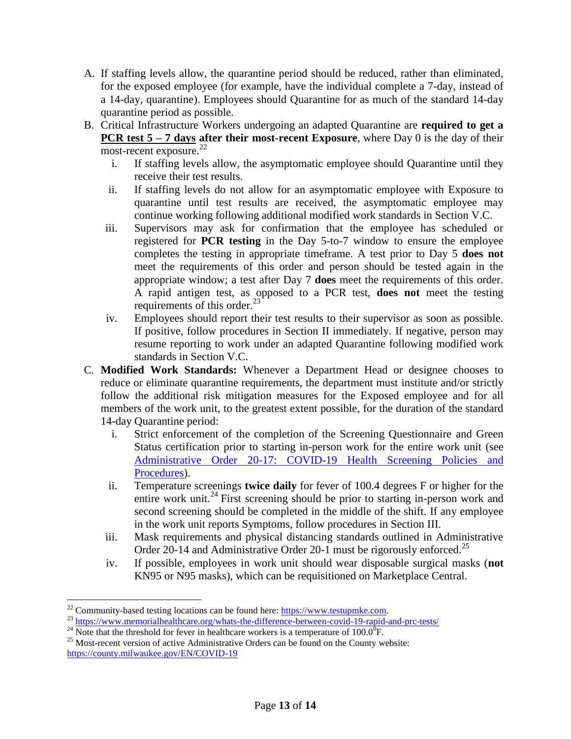- A. If staffing levels allow, the quarantine period should be reduced, rather than eliminated, for the exposed employee (for example, have the individual complete a 7-day, instead of a 14-day, quarantine). Employees should Quarantine for as much of the standard 14-day quarantine period as possible.
- B. Critical Infrastructure Workers undergoing an adapted Quarantine are **required to get a PCR test 5 – 7 days after their most-recent Exposure**, where Day 0 is the day of their most-recent exposure.<sup>22</sup>
	- i. If staffing levels allow, the asymptomatic employee should Quarantine until they receive their test results.
	- ii. If staffing levels do not allow for an asymptomatic employee with Exposure to quarantine until test results are received, the asymptomatic employee may continue working following additional modified work standards in Section V.C.
	- iii. Supervisors may ask for confirmation that the employee has scheduled or registered for **PCR testing** in the Day 5-to-7 window to ensure the employee completes the testing in appropriate timeframe. A test prior to Day 5 **does not** meet the requirements of this order and person should be tested again in the appropriate window; a test after Day 7 **does** meet the requirements of this order. A rapid antigen test, as opposed to a PCR test, **does not** meet the testing requirements of this order. $^{23}$
	- iv. Employees should report their test results to their supervisor as soon as possible. If positive, follow procedures in Section II immediately. If negative, person may resume reporting to work under an adapted Quarantine following modified work standards in Section V.C.
- C. **Modified Work Standards:** Whenever a Department Head or designee chooses to reduce or eliminate quarantine requirements, the department must institute and/or strictly follow the additional risk mitigation measures for the Exposed employee and for all members of the work unit, to the greatest extent possible, for the duration of the standard 14-day Quarantine period:
	- i. Strict enforcement of the completion of the Screening Questionnaire and Green Status certification prior to starting in-person work for the entire work unit (see [Administrative Order 20-17: COVID-19 Health Screening Policies and](https://county.milwaukee.gov/EN/COVID-19)  [Procedures\)](https://county.milwaukee.gov/EN/COVID-19).
	- ii. Temperature screenings **twice daily** for fever of 100.4 degrees F or higher for the entire work unit.<sup>24</sup> First screening should be prior to starting in-person work and second screening should be completed in the middle of the shift. If any employee in the work unit reports Symptoms, follow procedures in Section III.
	- iii. Mask requirements and physical distancing standards outlined in Administrative Order 20-14 and Administrative Order 20-1 must be rigorously enforced.<sup>25</sup>
	- iv. If possible, employees in work unit should wear disposable surgical masks (**not**  KN95 or N95 masks), which can be requisitioned on Marketplace Central.

 $^{22}$  Community-based testing locations can be found here: [https://www.testupmke.com.](https://www.testupmke.com/)

<sup>&</sup>lt;sup>23</sup> https://www.memorialhealthcare.org/w<u>hats-the-difference-between-covid-19-rapid-and-prc-tests/</u>

<sup>&</sup>lt;sup>24</sup> Note that the threshold for fever in healthcare workers is a temperature of 100.0<sup>0</sup>F.

<sup>&</sup>lt;sup>25</sup> Most-recent version of active Administrative Orders can be found on the County website: <https://county.milwaukee.gov/EN/COVID-19>